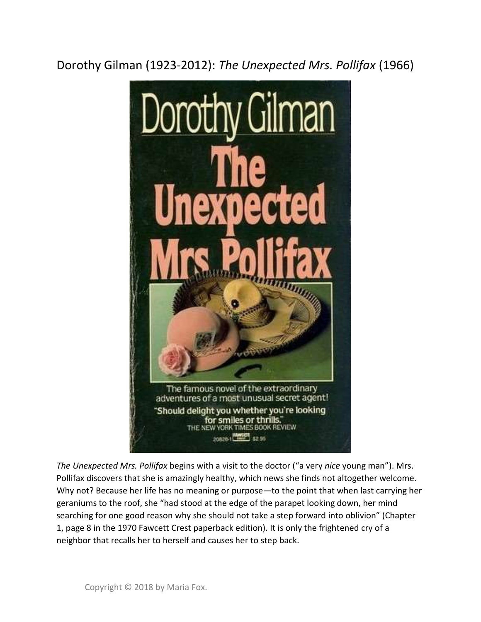Dorothy Gilman (1923-2012): The Unexpected Mrs. Pollifax (1966)



The Unexpected Mrs. Pollifax begins with a visit to the doctor ("a very nice young man"). Mrs. Pollifax discovers that she is amazingly healthy, which news she finds not altogether welcome. Why not? Because her life has no meaning or purpose—to the point that when last carrying her geraniums to the roof, she "had stood at the edge of the parapet looking down, her mind searching for one good reason why she should not take a step forward into oblivion" (Chapter 1, page 8 in the 1970 Fawcett Crest paperback edition). It is only the frightened cry of a neighbor that recalls her to herself and causes her to step back.